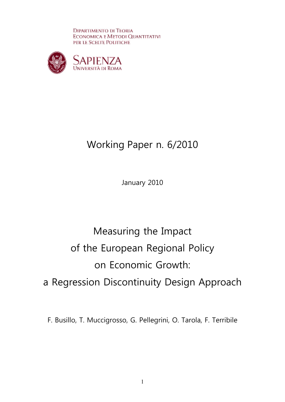**DIPARTIMENTO DI TEORIA** ECONOMICA E METODI QUANTITATIVI PER LE SCELTE POLITICHE



# Working Paper n. 6/2010

January 2010

# Measuring the Impact of the European Regional Policy on Economic Growth: a Regression Discontinuity Design Approach

F. Busillo, T. Muccigrosso, G. Pellegrini, O. Tarola, F. Terribile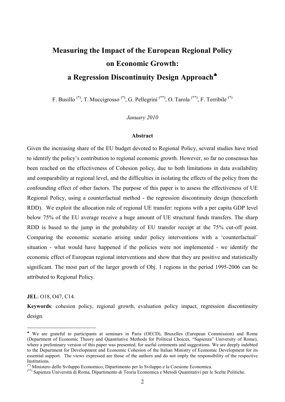## **Measuring the Impact of the European Regional Policy on Economic Growth: a Regression Discontinuity Design Approach**♣

F. Busillo  $(*)$ , T. Muccigrosso  $(*)$ , G. Pellegrini  $(**)$ , O. Tarola  $(**)$ , F. Terribile  $(*)$ 

*January 2010* 

### **Abstract**

Given the increasing share of the EU budget devoted to Regional Policy, several studies have tried to identify the policy's contribution to regional economic growth. However, so far no consensus has been reached on the effectiveness of Cohesion policy, due to both limitations in data availability and comparability at regional level, and the difficulties in isolating the effects of the policy from the confounding effect of other factors. The purpose of this paper is to assess the effectiveness of UE Regional Policy, using a counterfactual method - the regression discontinuity design (henceforth RDD). We exploit the allocation rule of regional UE transfer: regions with a per capita GDP level below 75% of the EU average receive a huge amount of UE structural funds transfers. The sharp RDD is based to the jump in the probability of EU transfer receipt at the 75% cut-off point. Comparing the economic scenario arising under policy interventions with a 'counterfactual' situation - what would have happened if the policies were not implemented - we identify the economic effect of European regional interventions and show that they are positive and statistically significant. The most part of the larger growth of Obj. 1 regions in the period 1995-2006 can be attributed to Regional Policy.

### **JEL**: O18, O47, C14.

<u>.</u>

**Keywords**: cohesion policy, regional growth, evaluation policy impact, regression discontinuity design.

<sup>♣</sup> We are grateful to participants at seminars in Paris (OECD), Bruxelles (European Commission) and Rome (Department of Economic Theory and Quantitative Methods for Political Choices, "Sapienza" University of Rome), where a preliminary version of this paper was presented, for useful comments and suggestions. We are deeply indebted to the Department for Development and Economic Cohesion of the Italian Ministry of Economic Development for its essential support. The views expressed are those of the authors and do not imply the responsibility of the respective **Institutions** 

<sup>(\*)</sup> Ministero dello Sviluppo Economico, Dipartimento per lo Sviluppo e la Coesione Economica.

<sup>(\*\*)</sup> Sapienza Università di Roma, Dipartimento di Teoria Economica e Metodi Quantitativi per le Scelte Politiche.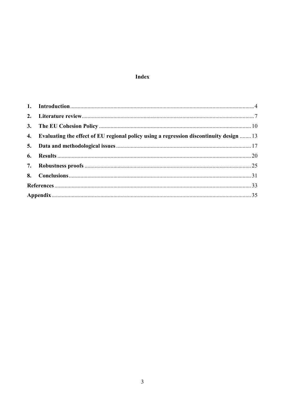### Index

| 4. Evaluating the effect of EU regional policy using a regression discontinuity design  13 |  |
|--------------------------------------------------------------------------------------------|--|
|                                                                                            |  |
|                                                                                            |  |
|                                                                                            |  |
|                                                                                            |  |
|                                                                                            |  |
|                                                                                            |  |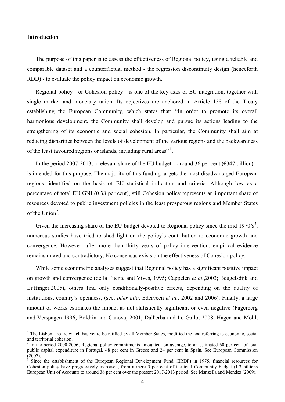### **Introduction**

-

The purpose of this paper is to assess the effectiveness of Regional policy, using a reliable and comparable dataset and a counterfactual method - the regression discontinuity design (henceforth RDD) - to evaluate the policy impact on economic growth.

Regional policy - or Cohesion policy - is one of the key axes of EU integration, together with single market and monetary union. Its objectives are anchored in Article 158 of the Treaty establishing the European Community, which states that: "In order to promote its overall harmonious development, the Community shall develop and pursue its actions leading to the strengthening of its economic and social cohesion. In particular, the Community shall aim at reducing disparities between the levels of development of the various regions and the backwardness of the least favoured regions or islands, including rural areas"<sup>1</sup>.

In the period 2007-2013, a relevant share of the EU budget – around 36 per cent ( $\epsilon$ 347 billion) – is intended for this purpose. The majority of this funding targets the most disadvantaged European regions, identified on the basis of EU statistical indicators and criteria. Although low as a percentage of total EU GNI (0,38 per cent), still Cohesion policy represents an important share of resources devoted to public investment policies in the least prosperous regions and Member States of the Union<sup>2</sup>.

Given the increasing share of the EU budget devoted to Regional policy since the mid-1970's<sup>3</sup>, numerous studies have tried to shed light on the policy's contribution to economic growth and convergence. However, after more than thirty years of policy intervention, empirical evidence remains mixed and contradictory. No consensus exists on the effectiveness of Cohesion policy.

While some econometric analyses suggest that Regional policy has a significant positive impact on growth and convergence (de la Fuente and Vives, 1995; Cappelen *et al.*,2003; Beugelsdijk and Eijffinger,2005), others find only conditionally-positive effects, depending on the quality of institutions, country's openness, (see, *inter alia*, Ederveen *et al.,* 2002 and 2006). Finally, a large amount of works estimates the impact as not statistically significant or even negative (Fagerberg and Verspagen 1996; Boldrin and Canova, 2001; Dall'erba and Le Gallo, 2008; Hagen and Mohl,

<sup>&</sup>lt;sup>1</sup> The Lisbon Treaty, which has yet to be ratified by all Member States, modified the text referring to economic, social and territorial cohesion.

 $2$  In the period 2000-2006, Regional policy commitments amounted, on average, to an estimated 60 per cent of total public capital expenditure in Portugal, 48 per cent in Greece and 24 per cent in Spain. See European Commission (2007).

<sup>3</sup> Since the establishment of the European Regional Development Fund (ERDF) in 1975, financial resources for Cohesion policy have progressively increased, from a mere 5 per cent of the total Community budget (1.3 billions European Unit of Account) to around 36 per cent over the present 2017-2013 period. See Manzella and Mendez (2009).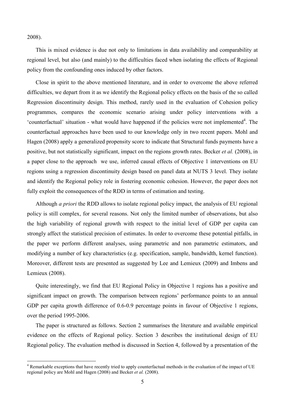2008).

This is mixed evidence is due not only to limitations in data availability and comparability at regional level, but also (and mainly) to the difficulties faced when isolating the effects of Regional policy from the confounding ones induced by other factors.

Close in spirit to the above mentioned literature, and in order to overcome the above referred difficulties, we depart from it as we identify the Regional policy effects on the basis of the so called Regression discontinuity design. This method, rarely used in the evaluation of Cohesion policy programmes, compares the economic scenario arising under policy interventions with a 'counterfactual' situation - what would have happened if the policies were not implemented<sup>4</sup>. The counterfactual approaches have been used to our knowledge only in two recent papers. Mohl and Hagen (2008) apply a generalized propensity score to indicate that Structural funds payments have a positive, but not statistically significant, impact on the regions growth rates. Becker *et al.* (2008), in a paper close to the approach we use, inferred causal effects of Objective 1 interventions on EU regions using a regression discontinuity design based on panel data at NUTS 3 level. They isolate and identify the Regional policy role in fostering economic cohesion. However, the paper does not fully exploit the consequences of the RDD in terms of estimation and testing.

Although *a priori* the RDD allows to isolate regional policy impact, the analysis of EU regional policy is still complex, for several reasons. Not only the limited number of observations, but also the high variability of regional growth with respect to the initial level of GDP per capita can strongly affect the statistical precision of estimates. In order to overcome these potential pitfalls, in the paper we perform different analyses, using parametric and non parametric estimators, and modifying a number of key characteristics (e.g. specification, sample, bandwidth, kernel function). Moreover, different tests are presented as suggested by Lee and Lemieux (2009) and Imbens and Lemieux (2008).

Quite interestingly, we find that EU Regional Policy in Objective 1 regions has a positive and significant impact on growth. The comparison between regions' performance points to an annual GDP per capita growth difference of 0.6-0.9 percentage points in favour of Objective 1 regions, over the period 1995-2006.

The paper is structured as follows. Section 2 summarises the literature and available empirical evidence on the effects of Regional policy. Section 3 describes the institutional design of EU Regional policy. The evaluation method is discussed in Section 4, followed by a presentation of the

<sup>&</sup>lt;sup>4</sup> Remarkable exceptions that have recently tried to apply counterfactual methods in the evaluation of the impact of UE regional policy are Mohl and Hagen (2008) and Becker *et al.* (2008).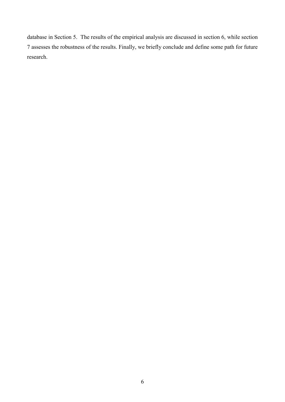database in Section 5. The results of the empirical analysis are discussed in section 6, while section 7 assesses the robustness of the results. Finally, we briefly conclude and define some path for future research.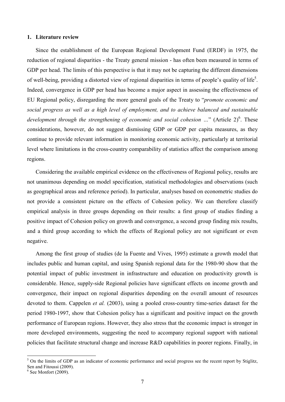### **1. Literature review**

Since the establishment of the European Regional Development Fund (ERDF) in 1975, the reduction of regional disparities - the Treaty general mission - has often been measured in terms of GDP per head. The limits of this perspective is that it may not be capturing the different dimensions of well-being, providing a distorted view of regional disparities in terms of people's quality of life<sup>5</sup>. Indeed, convergence in GDP per head has become a major aspect in assessing the effectiveness of EU Regional policy, disregarding the more general goals of the Treaty to "*promote economic and social progress as well as a high level of employment, and to achieve balanced and sustainable*  development through the strengthening of economic and social cohesion ..." (Article 2)<sup>6</sup>. These considerations, however, do not suggest dismissing GDP or GDP per capita measures, as they continue to provide relevant information in monitoring economic activity, particularly at territorial level where limitations in the cross-country comparability of statistics affect the comparison among regions.

Considering the available empirical evidence on the effectiveness of Regional policy, results are not unanimous depending on model specification, statistical methodologies and observations (such as geographical areas and reference period). In particular, analyses based on econometric studies do not provide a consistent picture on the effects of Cohesion policy. We can therefore classify empirical analysis in three groups depending on their results: a first group of studies finding a positive impact of Cohesion policy on growth and convergence, a second group finding mix results, and a third group according to which the effects of Regional policy are not significant or even negative.

Among the first group of studies (de la Fuente and Vives, 1995) estimate a growth model that includes public and human capital, and using Spanish regional data for the 1980-90 show that the potential impact of public investment in infrastructure and education on productivity growth is considerable. Hence, supply-side Regional policies have significant effects on income growth and convergence, their impact on regional disparities depending on the overall amount of resources devoted to them. Cappelen *et al.* (2003), using a pooled cross-country time-series dataset for the period 1980-1997, show that Cohesion policy has a significant and positive impact on the growth performance of European regions. However, they also stress that the economic impact is stronger in more developed environments, suggesting the need to accompany regional support with national policies that facilitate structural change and increase R&D capabilities in poorer regions. Finally, in

<sup>&</sup>lt;sup>5</sup> On the limits of GDP as an indicator of economic performance and social progress see the recent report by Stiglitz, Sen and Fitoussi (2009).

<sup>6</sup> See Monfort (2009).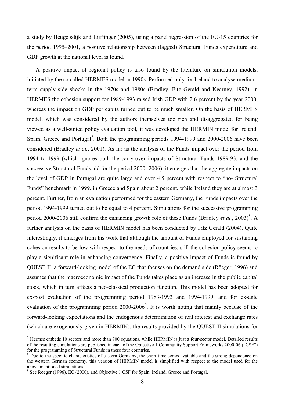a study by Beugelsdijk and Eijffinger (2005), using a panel regression of the EU-15 countries for the period 1995–2001, a positive relationship between (lagged) Structural Funds expenditure and GDP growth at the national level is found.

A positive impact of regional policy is also found by the literature on simulation models, initiated by the so called HERMES model in 1990s. Performed only for Ireland to analyse mediumterm supply side shocks in the 1970s and 1980s (Bradley, Fitz Gerald and Kearney, 1992), in HERMES the cohesion support for 1989-1993 raised Irish GDP with 2.6 percent by the year 2000, whereas the impact on GDP per capita turned out to be much smaller. On the basis of HERMES model, which was considered by the authors themselves too rich and disaggregated for being viewed as a well-suited policy evaluation tool, it was developed the HERMIN model for Ireland, Spain, Greece and Portugal<sup>7</sup>. Both the programming periods 1994-1999 and 2000-2006 have been considered (Bradley *et al.*, 2001). As far as the analysis of the Funds impact over the period from 1994 to 1999 (which ignores both the carry-over impacts of Structural Funds 1989-93, and the successive Structural Funds aid for the period 2000- 2006), it emerges that the aggregate impacts on the level of GDP in Portugal are quite large and over 4.5 percent with respect to "no- Structural Funds" benchmark in 1999, in Greece and Spain about 2 percent, while Ireland they are at almost 3 percent. Further, from an evaluation performed for the eastern Germany, the Funds impacts over the period 1994-1999 turned out to be equal to 4 percent. Simulations for the successive programming period 2000-2006 still confirm the enhancing growth role of these Funds (Bradley *et al.*, 2003)<sup>8</sup>. A further analysis on the basis of HERMIN model has been conducted by Fitz Gerald (2004). Quite interestingly, it emerges from his work that although the amount of Funds employed for sustaining cohesion results to be low with respect to the needs of countries, still the cohesion policy seems to play a significant role in enhancing convergence. Finally, a positive impact of Funds is found by QUEST II, a forward-looking model of the EC that focuses on the demand side (Röeger, 1996) and assumes that the macroeconomic impact of the Funds takes place as an increase in the public capital stock, which in turn affects a neo-classical production function. This model has been adopted for ex-post evaluation of the programming period 1983-1993 and 1994-1999, and for ex-ante evaluation of the programming period  $2000-2006^9$ . It is worth noting that mainly because of the forward-looking expectations and the endogenous determination of real interest and exchange rates (which are exogenously given in HERMIN), the results provided by the QUEST II simulations for

<u>.</u>

 $<sup>7</sup>$  Hermes embeds 10 sectors and more than 700 equations, while HERMIN is just a four-sector model. Detailed results</sup> of the resulting simulations are published in each of the Objective 1 Community Support Frameworks 2000-06 ("CSF") for the programming of Structural Funds in these four countries.

<sup>&</sup>lt;sup>8</sup> Due to the specific characteristics of eastern Germany, the short time series available and the strong dependence on the western German economy, this version of HERMIN model is simplified with respect to the model used for the above mentioned simulations.

<sup>&</sup>lt;sup>9</sup> See Roeger (1996), EC (2000), and Objective 1 CSF for Spain, Ireland, Greece and Portugal.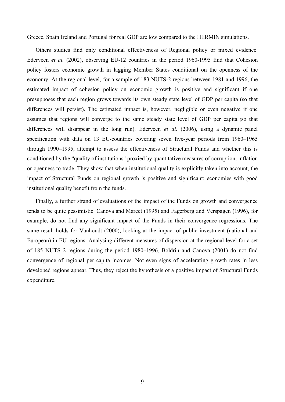Greece, Spain Ireland and Portugal for real GDP are low compared to the HERMIN simulations.

Others studies find only conditional effectiveness of Regional policy or mixed evidence. Ederveen *et al.* (2002), observing EU-12 countries in the period 1960-1995 find that Cohesion policy fosters economic growth in lagging Member States conditional on the openness of the economy. At the regional level, for a sample of 183 NUTS-2 regions between 1981 and 1996, the estimated impact of cohesion policy on economic growth is positive and significant if one presupposes that each region grows towards its own steady state level of GDP per capita (so that differences will persist). The estimated impact is, however, negligible or even negative if one assumes that regions will converge to the same steady state level of GDP per capita (so that differences will disappear in the long run). Ederveen *et al.* (2006), using a dynamic panel specification with data on 13 EU-countries covering seven five-year periods from 1960–1965 through 1990–1995, attempt to assess the effectiveness of Structural Funds and whether this is conditioned by the "quality of institutions" proxied by quantitative measures of corruption, inflation or openness to trade. They show that when institutional quality is explicitly taken into account, the impact of Structural Funds on regional growth is positive and significant: economies with good institutional quality benefit from the funds.

Finally, a further strand of evaluations of the impact of the Funds on growth and convergence tends to be quite pessimistic. Canova and Marcet (1995) and Fagerberg and Verspagen (1996), for example, do not find any significant impact of the Funds in their convergence regressions. The same result holds for Vanhoudt (2000), looking at the impact of public investment (national and European) in EU regions. Analysing different measures of dispersion at the regional level for a set of 185 NUTS 2 regions during the period 1980–1996, Boldrin and Canova (2001) do not find convergence of regional per capita incomes. Not even signs of accelerating growth rates in less developed regions appear. Thus, they reject the hypothesis of a positive impact of Structural Funds expenditure.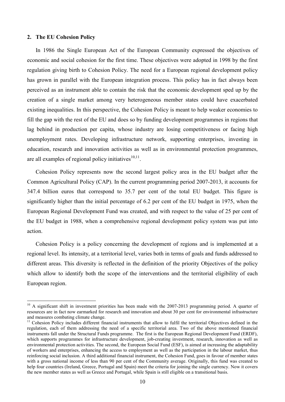### **2. The EU Cohesion Policy**

<u>.</u>

In 1986 the Single European Act of the European Community expressed the objectives of economic and social cohesion for the first time. These objectives were adopted in 1998 by the first regulation giving birth to Cohesion Policy. The need for a European regional development policy has grown in parallel with the European integration process. This policy has in fact always been perceived as an instrument able to contain the risk that the economic development sped up by the creation of a single market among very heterogeneous member states could have exacerbated existing inequalities. In this perspective, the Cohesion Policy is meant to help weaker economies to fill the gap with the rest of the EU and does so by funding development programmes in regions that lag behind in production per capita, whose industry are losing competitiveness or facing high unemployment rates. Developing infrastructure network, supporting enterprises, investing in education, research and innovation activities as well as in environmental protection programmes, are all examples of regional policy initiatives $10,11$ .

Cohesion Policy represents now the second largest policy area in the EU budget after the Common Agricultural Policy (CAP). In the current programming period 2007-2013, it accounts for 347.4 billion euros that correspond to 35.7 per cent of the total EU budget. This figure is significantly higher than the initial percentage of 6.2 per cent of the EU budget in 1975, when the European Regional Development Fund was created, and with respect to the value of 25 per cent of the EU budget in 1988, when a comprehensive regional development policy system was put into action.

Cohesion Policy is a policy concerning the development of regions and is implemented at a regional level. Its intensity, at a territorial level, varies both in terms of goals and funds addressed to different areas. This diversity is reflected in the definition of the priority Objectives of the policy which allow to identify both the scope of the interventions and the territorial eligibility of each European region.

 $10$  A significant shift in investment priorities has been made with the 2007-2013 programming period. A quarter of resources are in fact now earmarked for research and innovation and about 30 per cent for environmental infrastructure and measures combating climate change.

<sup>&</sup>lt;sup>11</sup> Cohesion Policy includes different financial instruments that allow to fulfil the territorial Objectives defined in the regulation, each of them addressing the need of a specific territorial area. Two of the above mentioned financial instruments fall under the Structural Funds programme. The first is the European Regional Development Fund (ERDF), which supports programmes for infrastructure development, job-creating investment, research, innovation as well as environmental protection activities. The second, the European Social Fund (ESF), is aimed at increasing the adaptability of workers and enterprises, enhancing the access to employment as well as the participation in the labour market, thus reinforcing social inclusion. A third additional financial instrument, the Cohesion Fund, goes in favour of member states with a gross national income of less than 90 per cent of the Community average. Originally, this fund was created to help four countries (Ireland, Greece, Portugal and Spain) meet the criteria for joining the single currency. Now it covers the new member states as well as Greece and Portugal, while Spain is still eligible on a transitional basis.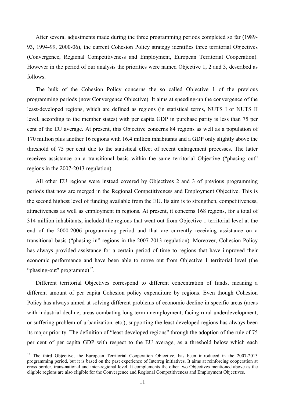After several adjustments made during the three programming periods completed so far (1989- 93, 1994-99, 2000-06), the current Cohesion Policy strategy identifies three territorial Objectives (Convergence, Regional Competitiveness and Employment, European Territorial Cooperation). However in the period of our analysis the priorities were named Objective 1, 2 and 3, described as follows.

The bulk of the Cohesion Policy concerns the so called Objective 1 of the previous programming periods (now Convergence Objective). It aims at speeding-up the convergence of the least-developed regions, which are defined as regions (in statistical terms, NUTS I or NUTS II level, according to the member states) with per capita GDP in purchase parity is less than 75 per cent of the EU average. At present, this Objective concerns 84 regions as well as a population of 170 million plus another 16 regions with 16.4 million inhabitants and a GDP only slightly above the threshold of 75 per cent due to the statistical effect of recent enlargement processes. The latter receives assistance on a transitional basis within the same territorial Objective ("phasing out" regions in the 2007-2013 regulation).

All other EU regions were instead covered by Objectives 2 and 3 of previous programming periods that now are merged in the Regional Competitiveness and Employment Objective. This is the second highest level of funding available from the EU. Its aim is to strengthen, competitiveness, attractiveness as well as employment in regions. At present, it concerns 168 regions, for a total of 314 million inhabitants, included the regions that went out from Objective 1 territorial level at the end of the 2000-2006 programming period and that are currently receiving assistance on a transitional basis ("phasing in" regions in the 2007-2013 regulation). Moreover, Cohesion Policy has always provided assistance for a certain period of time to regions that have improved their economic performance and have been able to move out from Objective 1 territorial level (the "phasing-out" programme) $^{12}$ .

Different territorial Objectives correspond to different concentration of funds, meaning a different amount of per capita Cohesion policy expenditure by regions. Even though Cohesion Policy has always aimed at solving different problems of economic decline in specific areas (areas with industrial decline, areas combating long-term unemployment, facing rural underdevelopment, or suffering problem of urbanization, etc.), supporting the least developed regions has always been its major priority. The definition of "least developed regions" through the adoption of the rule of 75 per cent of per capita GDP with respect to the EU average, as a threshold below which each

<u>.</u>

<sup>&</sup>lt;sup>12</sup> The third Objective, the European Territorial Cooperation Objective, has been introduced in the 2007-2013 programming period, but it is based on the past experience of Interreg initiatives. It aims at reinforcing cooperation at cross border, trans-national and inter-regional level. It complements the other two Objectives mentioned above as the eligible regions are also eligible for the Convergence and Regional Competitiveness and Employment Objectives.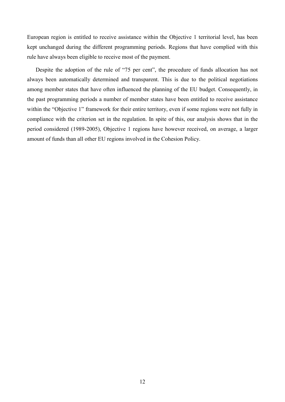European region is entitled to receive assistance within the Objective 1 territorial level, has been kept unchanged during the different programming periods. Regions that have complied with this rule have always been eligible to receive most of the payment.

Despite the adoption of the rule of "75 per cent", the procedure of funds allocation has not always been automatically determined and transparent. This is due to the political negotiations among member states that have often influenced the planning of the EU budget. Consequently, in the past programming periods a number of member states have been entitled to receive assistance within the "Objective 1" framework for their entire territory, even if some regions were not fully in compliance with the criterion set in the regulation. In spite of this, our analysis shows that in the period considered (1989-2005), Objective 1 regions have however received, on average, a larger amount of funds than all other EU regions involved in the Cohesion Policy.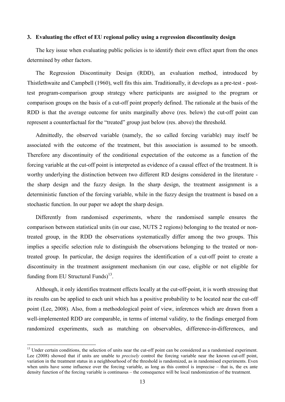### **3. Evaluating the effect of EU regional policy using a regression discontinuity design**

The key issue when evaluating public policies is to identify their own effect apart from the ones determined by other factors.

The Regression Discontinuity Design (RDD), an evaluation method, introduced by Thistlethwaite and Campbell (1960), well fits this aim. Traditionally, it develops as a pre-test - posttest program-comparison group strategy where participants are assigned to the program or comparison groups on the basis of a cut-off point properly defined. The rationale at the basis of the RDD is that the average outcome for units marginally above (res. below) the cut-off point can represent a counterfactual for the "treated" group just below (res. above) the threshold.

Admittedly, the observed variable (namely, the so called forcing variable) may itself be associated with the outcome of the treatment, but this association is assumed to be smooth. Therefore any discontinuity of the conditional expectation of the outcome as a function of the forcing variable at the cut-off point is interpreted as evidence of a causal effect of the treatment. It is worthy underlying the distinction between two different RD designs considered in the literature the sharp design and the fuzzy design. In the sharp design, the treatment assignment is a deterministic function of the forcing variable, while in the fuzzy design the treatment is based on a stochastic function. In our paper we adopt the sharp design.

Differently from randomised experiments, where the randomised sample ensures the comparison between statistical units (in our case, NUTS 2 regions) belonging to the treated or nontreated group, in the RDD the observations systematically differ among the two groups. This implies a specific selection rule to distinguish the observations belonging to the treated or nontreated group. In particular, the design requires the identification of a cut-off point to create a discontinuity in the treatment assignment mechanism (in our case, eligible or not eligible for funding from EU Structural Funds $1^{3}$ .

Although, it only identifies treatment effects locally at the cut-off-point, it is worth stressing that its results can be applied to each unit which has a positive probability to be located near the cut-off point (Lee, 2008). Also, from a methodological point of view, inferences which are drawn from a well-implemented RDD are comparable, in terms of internal validity, to the findings emerged from randomized experiments, such as matching on observables, difference-in-differences, and

<sup>&</sup>lt;sup>13</sup> Under certain conditions, the selection of units near the cut-off point can be considered as a randomised experiment. Lee (2008) showed that if units are unable to *precisely* control the forcing variable near the known cut-off point, variation in the treatment status in a neighbourhood of the threshold is randomized, as in randomised experiments. Even when units have some influence over the forcing variable, as long as this control is imprecise – that is, the ex ante density function of the forcing variable is continuous – the consequence will be local randomization of the treatment.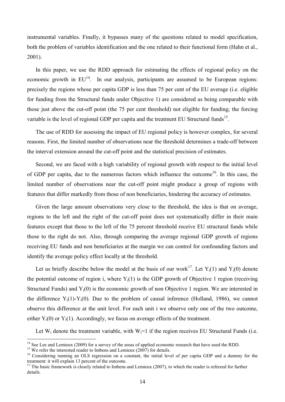instrumental variables. Finally, it bypasses many of the questions related to model specification, both the problem of variables identification and the one related to their functional form (Hahn et al., 2001).

In this paper, we use the RDD approach for estimating the effects of regional policy on the economic growth in  $EU^{14}$ . In our analysis, participants are assumed to be European regions: precisely the regions whose per capita GDP is less than 75 per cent of the EU average (i.e. eligible for funding from the Structural funds under Objective 1) are considered as being comparable with those just above the cut-off point (the 75 per cent threshold) not eligible for funding; the forcing variable is the level of regional GDP per capita and the treatment EU Structural funds<sup>15</sup>.

The use of RDD for assessing the impact of EU regional policy is however complex, for several reasons. First, the limited number of observations near the threshold determines a trade-off between the interval extension around the cut-off point and the statistical precision of estimates.

Second, we are faced with a high variability of regional growth with respect to the initial level of GDP per capita, due to the numerous factors which influence the outcome<sup>16</sup>. In this case, the limited number of observations near the cut-off point might produce a group of regions with features that differ markedly from those of non beneficiaries, hindering the accuracy of estimates.

Given the large amount observations very close to the threshold, the idea is that on average, regions to the left and the right of the cut-off point does not systematically differ in their main features except that those to the left of the 75 percent threshold receive EU structural funds while those to the right do not. Also, through comparing the average regional GDP growth of regions receiving EU funds and non beneficiaries at the margin we can control for confounding factors and identify the average policy effect locally at the threshold.

Let us briefly describe below the model at the basis of our work<sup>17</sup>. Let  $Y_i(1)$  and  $Y_i(0)$  denote the potential outcome of region i, where  $Y_i(1)$  is the GDP growth of Objective 1 region (receiving Structural Funds) and  $Y_i(0)$  is the economic growth of non Objective 1 region. We are interested in the difference  $Y_i(1)-Y_i(0)$ . Due to the problem of causal inference (Holland, 1986), we cannot observe this difference at the unit level. For each unit i we observe only one of the two outcome, either  $Y_i(0)$  or  $Y_i(1)$ . Accordingly, we focus on average effects of the treatment.

Let  $W_i$  denote the treatment variable, with  $W_i=1$  if the region receives EU Structural Funds (i.e.

<sup>15</sup> We refer the interested reader to Imbens and Lemieux (2007) for details.

<sup>&</sup>lt;sup>14</sup> See Lee and Lemieux (2009) for a survey of the areas of applied economic research that have used the RDD.

<sup>&</sup>lt;sup>16</sup> Considering running an OLS regression on a constant, the initial level of per capita GDP and a dummy for the treatment: it will explain 13 percent of the outcome.

 $17$  The basic framework is closely related to Imbens and Lemieux (2007), to which the reader is refereed for further details.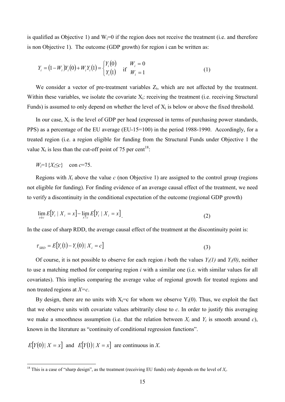is qualified as Objective 1) and  $W_i=0$  if the region does not receive the treatment (i.e. and therefore is non Objective 1). The outcome (GDP growth) for region i can be written as:

$$
Y_i = (1 - W_i)Y_i(0) + W_iY_i(1) = \begin{cases} Y_i(0) & \text{if } W_i = 0\\ Y_i(1) & \text{if } W_i = 1 \end{cases}
$$
 (1)

We consider a vector of pre-treatment variables  $Z_i$ , which are not affected by the treatment. Within these variables, we isolate the covariate  $X_i$ : receiving the treatment (i.e. receiving Structural Funds) is assumed to only depend on whether the level of  $X_i$  is below or above the fixed threshold.

In our case,  $X_i$  is the level of GDP per head (expressed in terms of purchasing power standards, PPS) as a percentage of the EU average (EU-15=100) in the period 1988-1990. Accordingly, for a treated region (i.e. a region eligible for funding from the Structural Funds under Objective 1 the value  $X_i$  is less than the cut-off point of 75 per cent<sup>18</sup>:

 $W_i = 1\{X_i \le c\}$  con  $c = 75$ .

Regions with  $X_i$  above the value  $c$  (non Objective 1) are assigned to the control group (regions not eligible for funding). For finding evidence of an average causal effect of the treatment, we need to verify a discontinuity in the conditional expectation of the outcome (regional GDP growth)

$$
\lim_{x \downarrow c} E[Y_i \mid X_i = x] - \lim_{x \uparrow c} E[Y_i \mid X_i = x]. \tag{2}
$$

In the case of sharp RDD, the average causal effect of the treatment at the discontinuity point is:

$$
\tau_{SRD} = E[Y_i(1) - Y_i(0) | X_i = c]
$$
\n(3)

Of course, it is not possible to observe for each region *i* both the values  $Y_i(1)$  and  $Y_i(0)$ , neither to use a matching method for comparing region *i* with a similar one (i.e. with similar values for all covariates). This implies comparing the average value of regional growth for treated regions and non treated regions at *X=c*.

By design, there are no units with  $X_i = c$  for whom we observe  $Y_i(0)$ . Thus, we exploit the fact that we observe units with covariate values arbitrarily close to *c*. In order to justify this averaging we make a smoothness assumption (i.e. that the relation between  $X_i$  and  $Y_i$  is smooth around *c*), known in the literature as "continuity of conditional regression functions".

$$
E[Y(0) | X = x] \text{ and } E[Y(1) | X = x] \text{ are continuous in } X.
$$

<sup>&</sup>lt;sup>18</sup> This is a case of "sharp design", as the treatment (receiving EU funds) only depends on the level of  $X_i$ .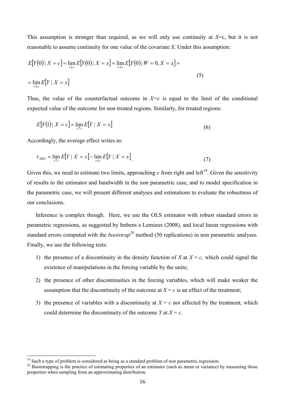This assumption is stronger than required, as we will only use continuity at *X*=c, but it is not reasonable to assume continuity for one value of the covariate *X*. Under this assumption:

$$
E[Y(0) | X = c] = \lim_{x \to c} E[Y(0) | X = x] = \lim_{x \to c} E[Y(0) | W = 0, X = x] =
$$
  
= 
$$
\lim_{x \to c} E[Y | X = x]
$$
 (5)

Thus, the value of the counterfactual outcome in  $X=c$  is equal to the limit of the conditional expected value of the outcome for non treated regions. Similarly, for treated regions:

$$
E[Y(1)|X = c] = \lim_{x \uparrow c} E[Y | X = x]
$$
\n
$$
(6)
$$

Accordingly, the average effect writes as:

-

$$
\tau_{SRD} = \lim_{x \uparrow c} E[Y \mid X = x] - \lim_{x \downarrow c} E[Y \mid X = x]. \tag{7}
$$

Given this, we need to estimate two limits, approaching  $c$  from right and left<sup>19</sup>. Given the sensitivity of results to the estimator and bandwidth in the non parametric case, and to model specification in the parametric case, we will present different analyses and estimations to evaluate the robustness of our conclusions.

Inference is complex though. Here, we use the OLS estimator with robust standard errors in parametric regressions, as suggested by Imbens e Lemieux (2008), and local linear regressions with standard errors computed with the *bootstrap<sup>20</sup>* method (50 replications) in non parametric analyses. Finally, we use the following tests:

- 1) the presence of a discontinuity in the density function of *X* at  $X = c$ , which could signal the existence of manipulations in the forcing variable by the units;
- 2) the presence of other discontinuities in the forcing variables, which will make weaker the assumption that the discontinuity of the outcome at  $X = c$  is an effect of the treatment;
- 3) the presence of variables with a discontinuity at  $X = c$  not affected by the treatment, which could determine the discontinuity of the outcome *Y* at  $X = c$ .

<sup>&</sup>lt;sup>19</sup> Such a type of problem is considered as being as a standard problem of non parametric regression.

<sup>&</sup>lt;sup>20</sup> Bootstrapping is the practice of estimating properties of an estimator (such as mean or variance) by measuring those properties when sampling from an approximating distribution.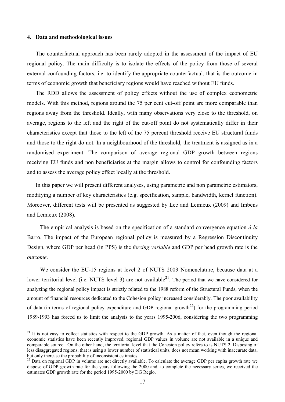### **4. Data and methodological issues**

-

The counterfactual approach has been rarely adopted in the assessment of the impact of EU regional policy. The main difficulty is to isolate the effects of the policy from those of several external confounding factors, i.e. to identify the appropriate counterfactual, that is the outcome in terms of economic growth that beneficiary regions would have reached without EU funds.

The RDD allows the assessment of policy effects without the use of complex econometric models. With this method, regions around the 75 per cent cut-off point are more comparable than regions away from the threshold. Ideally, with many observations very close to the threshold, on average, regions to the left and the right of the cut-off point do not systematically differ in their characteristics except that those to the left of the 75 percent threshold receive EU structural funds and those to the right do not. In a neighbourhood of the threshold, the treatment is assigned as in a randomised experiment. The comparison of average regional GDP growth between regions receiving EU funds and non beneficiaries at the margin allows to control for confounding factors and to assess the average policy effect locally at the threshold.

In this paper we will present different analyses, using parametric and non parametric estimators, modifying a number of key characteristics (e.g. specification, sample, bandwidth, kernel function). Moreover, different tests will be presented as suggested by Lee and Lemieux (2009) and Imbens and Lemieux (2008).

The empirical analysis is based on the specification of a standard convergence equation *à la* Barro. The impact of the European regional policy is measured by a Regression Discontinuity Design, where GDP per head (in PPS) is the *forcing variable* and GDP per head growth rate is the *outcome*.

We consider the EU-15 regions at level 2 of NUTS 2003 Nomenclature, because data at a lower territorial level (i.e. NUTS level 3) are not available $^{21}$ . The period that we have considered for analyzing the regional policy impact is strictly related to the 1988 reform of the Structural Funds, when the amount of financial resources dedicated to the Cohesion policy increased considerably. The poor availability of data (in terms of regional policy expenditure and GDP regional growth<sup>22</sup>) for the programming period 1989-1993 has forced us to limit the analysis to the years 1995-2006, considering the two programming

 $21$  It is not easy to collect statistics with respect to the GDP growth. As a matter of fact, even though the regional economic statistics have been recently improved, regional GDP values in volume are not available in a unique and comparable source. On the other hand, the territorial level that the Cohesion policy refers to is NUTS 2. Disposing of less disaggregated regions, that is using a lower number of statistical units, does not mean working with inaccurate data, but only increase the probability of inconsistent estimates.

 $^{22}$  Data on regional GDP in volume are not directly available. To calculate the average GDP per capita growth rate we dispose of GDP growth rate for the years following the 2000 and, to complete the necessary series, we received the estimates GDP growth rate for the period 1995-2000 by DG Regio.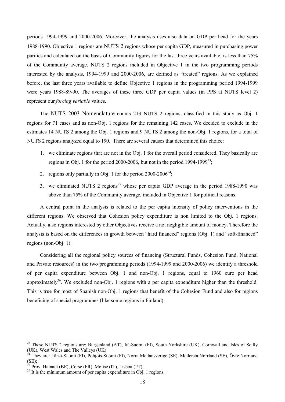periods 1994-1999 and 2000-2006. Moreover, the analysis uses also data on GDP per head for the years 1988-1990. Objective 1 regions are NUTS 2 regions whose per capita GDP, measured in purchasing power parities and calculated on the basis of Community figures for the last three years available, is less than 75% of the Community average. NUTS 2 regions included in Objective 1 in the two programming periods interested by the analysis, 1994-1999 and 2000-2006, are defined as "treated" regions. As we explained before, the last three years available to define Objective 1 regions in the programming period 1994-1999 were years 1988-89-90. The averages of these three GDP per capita values (in PPS at NUTS level 2) represent our *forcing variable* values.

The NUTS 2003 Nomenclature counts 213 NUTS 2 regions, classified in this study as Obj. 1 regions for 71 cases and as non-Obj. 1 regions for the remaining 142 cases. We decided to exclude in the estimates 14 NUTS 2 among the Obj. 1 regions and 9 NUTS 2 among the non-Obj. 1 regions, for a total of NUTS 2 regions analyzed equal to 190. There are several causes that determined this choice:

- 1. we eliminate regions that are not in the Obj. 1 for the overall period considered. They basically are regions in Obj. 1 for the period 2000-2006, but not in the period 1994-1999<sup>23</sup>;
- 2. regions only partially in Obj. 1 for the period  $2000-2006^{24}$ ;
- 3. we eliminated NUTS 2 regions<sup>25</sup> whose per capita GDP average in the period 1988-1990 was above than 75% of the Community average, included in Objective 1 for political reasons.

A central point in the analysis is related to the per capita intensity of policy interventions in the different regions. We observed that Cohesion policy expenditure is non limited to the Obj. 1 regions. Actually, also regions interested by other Objectives receive a not negligible amount of money. Therefore the analysis is based on the differences in growth between "hard financed" regions (Obj. 1) and "soft-financed" regions (non-Obj. 1).

Considering all the regional policy sources of financing (Structural Funds, Cohesion Fund, National and Private resources) in the two programming periods (1994-1999 and 2000-2006) we identify a threshold of per capita expenditure between Obj. 1 and non-Obj. 1 regions, equal to 1960 euro per head approximately<sup>26</sup>. We excluded non-Obj. 1 regions with a per capita expenditure higher than the threshold. This is true for most of Spanish non-Obj. 1 regions that benefit of the Cohesion Fund and also for regions beneficing of special programmes (like some regions in Finland).

<sup>&</sup>lt;sup>23</sup> These NUTS 2 regions are: Burgenland (AT), Itä-Suomi (FI), South Yorkshire (UK), Cornwall and Isles of Scilly (UK), West Wales and The Valleys (UK).

<sup>&</sup>lt;sup>24</sup> They are: Länsi-Suomi (FI), Pohjois-Suomi (FI), Norra Mellansverige (SE), Mellersta Norrland (SE), Övre Norrland (SE);

 $25$  Prov. Hainaut (BE), Corse (FR), Molise (IT), Lisboa (PT).

<sup>&</sup>lt;sup>26</sup> It is the minimum amount of per capita expenditure in Obj. 1 regions.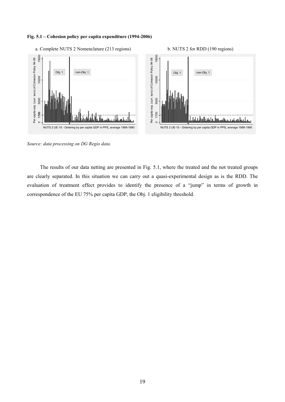### **Fig. 5.1 – Cohesion policy per capita expenditure (1994-2006)**



*Source: data processing on DG Regio data.* 

The results of our data netting are presented in Fig. 5.1, where the treated and the not treated groups are clearly separated. In this situation we can carry out a quasi-experimental design as is the RDD. The evaluation of treatment effect provides to identify the presence of a "jump" in terms of growth in correspondence of the EU 75% per capita GDP, the Obj. 1 eligibility threshold.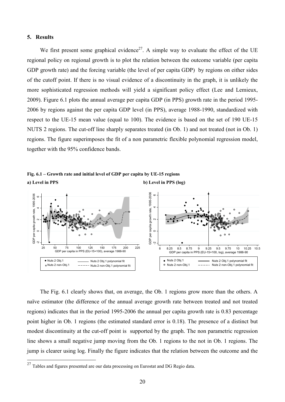### **5. Results**

We first present some graphical evidence<sup>27</sup>. A simple way to evaluate the effect of the UE regional policy on regional growth is to plot the relation between the outcome variable (per capita GDP growth rate) and the forcing variable (the level of per capita GDP) by regions on either sides of the cutoff point. If there is no visual evidence of a discontinuity in the graph, it is unlikely the more sophisticated regression methods will yield a significant policy effect (Lee and Lemieux, 2009). Figure 6.1 plots the annual average per capita GDP (in PPS) growth rate in the period 1995- 2006 by regions against the per capita GDP level (in PPS), average 1988-1990, standardized with respect to the UE-15 mean value (equal to 100). The evidence is based on the set of 190 UE-15 NUTS 2 regions. The cut-off line sharply separates treated (in Ob. 1) and not treated (not in Ob. 1) regions. The figure superimposes the fit of a non parametric flexible polynomial regression model, together with the 95% confidence bands.

**Fig. 6.1 – Growth rate and initial level of GDP per capita by UE-15 regions a**) Level in PPS (log) **b**) Level in PPS (log)



The Fig. 6.1 clearly shows that, on average, the Ob. 1 regions grow more than the others. A naïve estimator (the difference of the annual average growth rate between treated and not treated regions) indicates that in the period 1995-2006 the annual per capita growth rate is 0.83 percentage point higher in Ob. 1 regions (the estimated standard error is 0.18). The presence of a distinct but modest discontinuity at the cut-off point is supported by the graph. The non parametric regression line shows a small negative jump moving from the Ob. 1 regions to the not in Ob. 1 regions. The jump is clearer using log. Finally the figure indicates that the relation between the outcome and the

<sup>27</sup> <sup>27</sup> Tables and figures presented are our data processing on Eurostat and DG Regio data.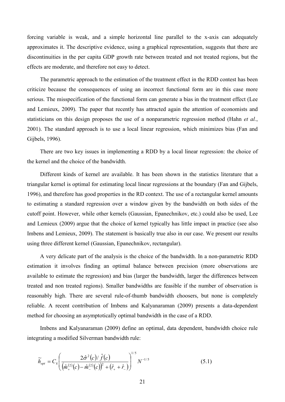forcing variable is weak, and a simple horizontal line parallel to the x-axis can adequately approximates it. The descriptive evidence, using a graphical representation, suggests that there are discontinuities in the per capita GDP growth rate between treated and not treated regions, but the effects are moderate, and therefore not easy to detect.

The parametric approach to the estimation of the treatment effect in the RDD contest has been criticize because the consequences of using an incorrect functional form are in this case more serious. The misspecification of the functional form can generate a bias in the treatment effect (Lee and Lemieux, 2009). The paper that recently has attracted again the attention of economists and statisticians on this design proposes the use of a nonparametric regression method (Hahn *et al.*, 2001). The standard approach is to use a local linear regression, which minimizes bias (Fan and Gijbels, 1996).

There are two key issues in implementing a RDD by a local linear regression: the choice of the kernel and the choice of the bandwidth.

Different kinds of kernel are available. It has been shown in the statistics literature that a triangular kernel is optimal for estimating local linear regressions at the boundary (Fan and Gijbels, 1996), and therefore has good properties in the RD context. The use of a rectangular kernel amounts to estimating a standard regression over a window given by the bandwidth on both sides of the cutoff point. However, while other kernels (Gaussian, Epanechnikov, etc.) could also be used, Lee and Lemieux (2009) argue that the choice of kernel typically has little impact in practice (see also Imbens and Lemieux, 2009). The statement is basically true also in our case. We present our results using three different kernel (Gaussian, Epanechnikov, rectangular).

A very delicate part of the analysis is the choice of the bandwidth. In a non-parametric RDD estimation it involves finding an optimal balance between precision (more observations are available to estimate the regression) and bias (larger the bandwidth, larger the differences between treated and non treated regions). Smaller bandwidths are feasible if the number of observation is reasonably high. There are several rule-of-thumb bandwidth choosers, but none is completely reliable. A recent contribution of Imbens and Kalyanaraman (2009) presents a data-dependent method for choosing an asymptotically optimal bandwidth in the case of a RDD.

Imbens and Kalyanaraman (2009) define an optimal, data dependent, bandwidth choice rule integrating a modified Silverman bandwidth rule:

$$
\widetilde{h}_{opt} = C_k \left( \frac{2\hat{\sigma}^2(c)/\hat{f}(c)}{\left(\hat{m}_+^{(2)}(c) - \hat{m}_-^{(2)}(c)\right)^2 + \left(\hat{r}_+ + \hat{r}_-\right)} \right)^{1/5} N^{-1/5}
$$
\n(5.1)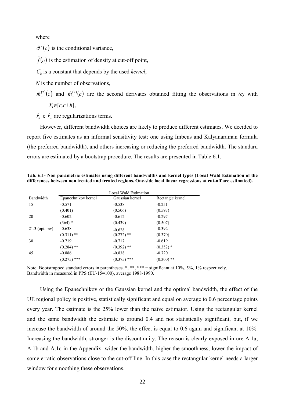where

 $\hat{\sigma}^2(c)$  is the conditional variance,

 $\hat{f}(c)$  is the estimation of density at cut-off point,

 $C_k$  is a constant that depends by the used *kernel*,

*N* is the number of observations,

 $\hat{m}_+^{(2)}(c)$  and  $\hat{m}_-^{(2)}(c)$  are the second derivates obtained fitting the observations in *(c)* with *Xi*∈[*c,c+h*],

 $\hat{r}_+$  e  $\hat{r}_-$  are regularizations terms.

However, different bandwidth choices are likely to produce different estimates. We decided to report five estimates as an informal sensitivity test: one using Imbens and Kalyanaraman formula (the preferred bandwidth), and others increasing or reducing the preferred bandwidth. The standard errors are estimated by a bootstrap procedure. The results are presented in Table 6.1.

**Tab. 6.1- 8on parametric estimates using different bandwidths and kernel types (Local Wald Estimation of the differences between non treated and treated regions. One-side local linear regressions at cut-off are estimated).** 

|                  |                     | Local Wald Estimation |                  |
|------------------|---------------------|-----------------------|------------------|
| Bandwidth        | Epanechnikov kernel | Gaussian kernel       | Rectangle kernel |
| 15               | $-0.571$            | $-0.538$              | $-0.251$         |
|                  | (0.401)             | (0.506)               | (0.597)          |
| 20               | $-0.602$            | $-0.612$              | $-0.297$         |
|                  | $(364)$ *           | (0.439)               | (0.507)          |
| $21.3$ (opt. bw) | $-0.638$            | $-0.628$              | $-0.392$         |
|                  | $(0.311)$ **        | $(0.272)$ **          | (0.370)          |
| 30               | $-0.719$            | $-0.717$              | $-0.619$         |
|                  | $(0.284)$ **        | $(0.392)$ **          | $(0.352)$ *      |
| 45               | $-0.886$            | $-0.838$              | $-0.720$         |
|                  | $(0.275)$ ***       | $(0.375)$ ***         | $(0.300)$ **     |

Note: Bootstrapped standard errors in parentheses. \*, \*\*, \*\*\* = significant at  $10\%, 5\%, 1\%$  respectively. Bandwidth in measured in PPS (EU-15=100), average 1988-1990.

Using the Epanechnikov or the Gaussian kernel and the optimal bandwidth, the effect of the UE regional policy is positive, statistically significant and equal on average to 0.6 percentage points every year. The estimate is the 25% lower than the naïve estimator. Using the rectangular kernel and the same bandwidth the estimate is around 0.4 and not statistically significant, but, if we increase the bandwidth of around the 50%, the effect is equal to 0.6 again and significant at 10%. Increasing the bandwidth, stronger is the discontinuity. The reason is clearly exposed in ure A.1a, A.1b and A.1c in the Appendix: wider the bandwidth, higher the smoothness, lower the impact of some erratic observations close to the cut-off line. In this case the rectangular kernel needs a larger window for smoothing these observations.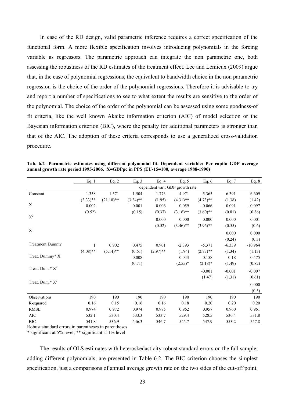In case of the RD design, valid parametric inference requires a correct specification of the functional form. A more flexible specification involves introducing polynomials in the forcing variable as regressors. The parametric approach can integrate the non parametric one, both assessing the robustness of the RD estimates of the treatment effect. Lee and Lemieux (2009) argue that, in the case of polynomial regressions, the equivalent to bandwidth choice in the non parametric regression is the choice of the order of the polynomial regressions. Therefore it is advisable to try and report a number of specifications to see to what extent the results are sensitive to the order of the polynomial. The choice of the order of the polynomial can be assessed using some goodness-of fit criteria, like the well known Akaike information criterion (AIC) of model selection or the Bayesian information criterion (BIC), where the penalty for additional parameters is stronger than that of the AIC. The adoption of these criteria corresponds to use a generalized cross-validation procedure.

|                        | Eq.1        | Eq. 2        | Eq. $3$     | Eq. $4$     | Eq. $5$                         | Eq. $6$     | Eq. 7    | Eq. 8     |
|------------------------|-------------|--------------|-------------|-------------|---------------------------------|-------------|----------|-----------|
|                        |             |              |             |             | dependent var.: GDP growth rate |             |          |           |
| Constant               | 1.358       | 1.571        | 1.504       | 1.773       | 4.971                           | 5.365       | 6.391    | 6.609     |
|                        | $(3.33)$ ** | $(21.18)$ ** | $(3.34)$ ** | (1.95)      | $(4.31)$ **                     | $(4.73)$ ** | (1.38)   | (1.42)    |
| X                      | 0.002       |              | 0.001       | $-0.006$    | $-0.059$                        | $-0.066$    | $-0.091$ | $-0.097$  |
|                        | (0.52)      |              | (0.15)      | (0.37)      | $(3.16)$ **                     | $(3.60)$ ** | (0.81)   | (0.86)    |
| $X^2$                  |             |              |             | 0.000       | 0.000                           | 0.000       | 0.000    | 0.001     |
|                        |             |              |             | (0.52)      | $(3.46)$ **                     | $(3.96)$ ** | (0.55)   | (0.6)     |
| $X^3$                  |             |              |             |             |                                 |             | 0.000    | 0.000     |
|                        |             |              |             |             |                                 |             | (0.24)   | (0.3)     |
| <b>Treatment Dummy</b> |             | 0.902        | 0.475       | 0.901       | $-2.393$                        | $-5.371$    | $-6.339$ | $-10.964$ |
|                        | $(4.08)$ ** | $(5.14)$ **  | (0.61)      | $(2.97)$ ** | (1.94)                          | $(2.77)$ ** | (1.34)   | (1.13)    |
| Treat. Dummy* X        |             |              | 0.008       |             | 0.043                           | 0.158       | 0.18     | 0.475     |
|                        |             |              | (0.71)      |             | $(2.55)^*$                      | $(2.18)^*$  | (1.49)   | (0.82)    |
| Treat. Dum.* $X^2$     |             |              |             |             |                                 | $-0.001$    | $-0.001$ | $-0.007$  |
|                        |             |              |             |             |                                 | (1.47)      | (1.31)   | (0.61)    |
| Treat. Dum.* $X^3$     |             |              |             |             |                                 |             |          | 0.000     |
|                        |             |              |             |             |                                 |             |          | (0.5)     |
| Observations           | 190         | 190          | 190         | 190         | 190                             | 190         | 190      | 190       |
| R-squared              | 0.16        | 0.15         | 0.16        | 0.16        | 0.18                            | 0.20        | 0.20     | 0.20      |
| <b>RMSE</b>            | 0.974       | 0.972        | 0.974       | 0.975       | 0.962                           | 0.957       | 0.960    | 0.961     |
| AIC                    | 532.1       | 530.4        | 533.3       | 533.7       | 529.4                           | 528.5       | 530.4    | 531.8     |
| <b>BIC</b>             | 541.8       | 536.9        | 546.3       | 546.7       | 545.7                           | 547.9       | 553.2    | 557.8     |

**Tab. 6.2- Parametric estimates using different polynomial fit. Dependent variable: Per capita GDP average annual growth rate period 1995-2006. X=GDPpc in PPS (EU-15=100, average 1988-1990)** 

Robust standard errors in parentheses in parentheses

\* significant at 5% level; \*\* significant at 1% level

The results of OLS estimates with heteroskedasticity-robust standard errors on the full sample, adding different polynomials, are presented in Table 6.2. The BIC criterion chooses the simplest specification, just a comparisons of annual average growth rate on the two sides of the cut-off point.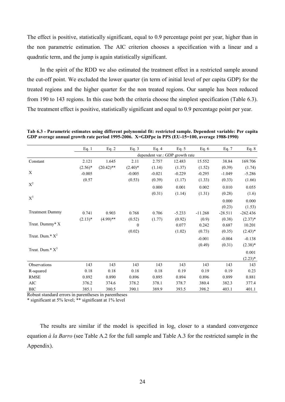The effect is positive, statistically significant, equal to 0.9 percentage point per year, higher than in the non parametric estimation. The AIC criterion chooses a specification with a linear and a quadratic term, and the jump is again statistically significant.

In the spirit of the RDD we also estimated the treatment effect in a restricted sample around the cut-off point. We excluded the lower quarter (in term of initial level of per capita GDP) for the treated regions and the higher quarter for the non treated regions. Our sample has been reduced from 190 to 143 regions. In this case both the criteria choose the simplest specification (Table 6.3). The treatment effect is positive, statistically significant and equal to 0.9 percentage point per year.

|                        | Eq. $1$   | Eq. $2$      | Eq. $3$    | Eq. $4$                         | Eq. $5$  | Eq. $6$   | Eq. $7$   | Eq. $8$    |
|------------------------|-----------|--------------|------------|---------------------------------|----------|-----------|-----------|------------|
|                        |           |              |            | dependent var.: GDP growth rate |          |           |           |            |
| Constant               | 2.121     | 1.645        | 2.11       | 2.757                           | 12.483   | 15.552    | 38.84     | 169.706    |
|                        | $(2.56)*$ | $(20.42)$ ** | $(2.40)^*$ | (1.14)                          | (1.37)   | (1.52)    | (0.39)    | (1.74)     |
| X                      | $-0.005$  |              | $-0.005$   | $-0.021$                        | $-0.229$ | $-0.295$  | $-1.049$  | $-5.286$   |
|                        | (0.57)    |              | (0.53)     | (0.39)                          | (1.17)   | (1.33)    | (0.33)    | (1.66)     |
| $\mathbf{X}^2$         |           |              |            | 0.000                           | 0.001    | 0.002     | 0.010     | 0.055      |
|                        |           |              |            | (0.31)                          | (1.14)   | (1.31)    | (0.28)    | (1.6)      |
| $X^3$                  |           |              |            |                                 |          |           | 0.000     | 0.000      |
|                        |           |              |            |                                 |          |           | (0.23)    | (1.53)     |
| <b>Treatment Dummy</b> | 0.741     | 0.903        | 0.768      | 0.706                           | $-5.233$ | $-11.268$ | $-28.511$ | $-262.436$ |
|                        | $(2.13)*$ | $(4.99)$ **  | (0.52)     | (1.77)                          | (0.92)   | (0.9)     | (0.38)    | $(2.37)*$  |
| Treat. Dummy* X        |           |              | $\theta$   |                                 | 0.077    | 0.242     | 0.687     | 10.201     |
|                        |           |              | (0.02)     |                                 | (1.02)   | (0.73)    | (0.35)    | $(2.43)*$  |
| Treat. Dum.* $X^2$     |           |              |            |                                 |          | $-0.001$  | $-0.004$  | $-0.138$   |
|                        |           |              |            |                                 |          | (0.49)    | (0.31)    | $(2.38)*$  |
| Treat. Dum.* $X^3$     |           |              |            |                                 |          |           |           | 0.001      |
|                        |           |              |            |                                 |          |           |           | $(2.23)*$  |
| Observations           | 143       | 143          | 143        | 143                             | 143      | 143       | 143       | 143        |
| R-squared              | 0.18      | 0.18         | 0.18       | 0.18                            | 0.19     | 0.19      | 0.19      | 0.23       |
| <b>RMSE</b>            | 0.892     | 0.890        | 0.896      | 0.895                           | 0.894    | 0.896     | 0.899     | 0.881      |
| $\rm AIC$              | 376.2     | 374.6        | 378.2      | 378.1                           | 378.7    | 380.4     | 382.3     | 377.4      |
| <b>BIC</b>             | 385.1     | 380.5        | 390.1      | 389.9                           | 393.5    | 398.2     | 403.1     | 401.1      |

**Tab 6.3 - Parametric estimates using different polynomial fit: restricted sample. Dependent variable: Per capita GDP average annual growth rate period 1995-2006. X=GDPpc in PPS (EU-15=100, average 1988-1990)** 

Robust standard errors in parentheses in parentheses

\* significant at 5% level; \*\* significant at 1% level

The results are similar if the model is specified in log, closer to a standard convergence equation *à la Barro* (see Table A.2 for the full sample and Table A.3 for the restricted sample in the Appendix).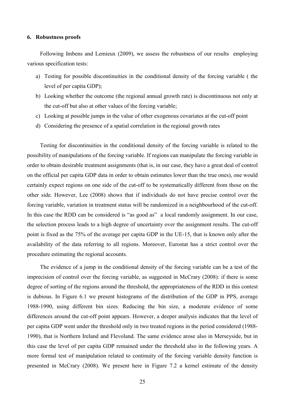### **6. Robustness proofs**

Following Imbens and Lemieux (2009), we assess the robustness of our results employing various specification tests:

- a) Testing for possible discontinuities in the conditional density of the forcing variable ( the level of per capita GDP);
- b) Looking whether the outcome (the regional annual growth rate) is discontinuous not only at the cut-off but also at other values of the forcing variable;
- c) Looking at possible jumps in the value of other exogenous covariates at the cut-off point
- d) Considering the presence of a spatial correlation in the regional growth rates

Testing for discontinuities in the conditional density of the forcing variable is related to the possibility of manipulations of the forcing variable. If regions can manipulate the forcing variable in order to obtain desirable treatment assignments (that is, in our case, they have a great deal of control on the official per capita GDP data in order to obtain estimates lower than the true ones), one would certainly expect regions on one side of the cut-off to be systematically different from those on the other side. However, Lee (2008) shows that if individuals do not have precise control over the forcing variable, variation in treatment status will be randomized in a neighbourhood of the cut-off. In this case the RDD can be considered is "as good as" a local randomly assignment. In our case, the selection process leads to a high degree of uncertainty over the assignment results. The cut-off point is fixed as the 75% of the average per capita GDP in the UE-15, that is known only after the availability of the data referring to all regions. Moreover, Eurostat has a strict control over the procedure estimating the regional accounts.

The evidence of a jump in the conditional density of the forcing variable can be a test of the imprecision of control over the forcing variable, as suggested in McCrary (2008): if there is some degree of sorting of the regions around the threshold, the appropriateness of the RDD in this contest is dubious. In Figure 6.1 we present histograms of the distribution of the GDP in PPS, average 1988-1990, using different bin sizes. Reducing the bin size, a moderate evidence of some differences around the cut-off point appears. However, a deeper analysis indicates that the level of per capita GDP went under the threshold only in two treated regions in the period considered (1988- 1990), that is Northern Ireland and Flevoland. The same evidence arose also in Merseyside, but in this case the level of per capita GDP remained under the threshold also in the following years. A more formal test of manipulation related to continuity of the forcing variable density function is presented in McCrary (2008). We present here in Figure 7.2 a kernel estimate of the density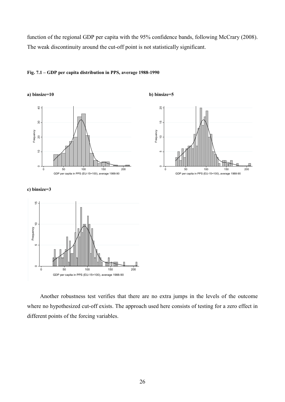function of the regional GDP per capita with the 95% confidence bands, following McCrary (2008). The weak discontinuity around the cut-off point is not statistically significant.



### **Fig. 7.1 – GDP per capita distribution in PPS, average 1988-1990**

### **c) binsize=3**



Another robustness test verifies that there are no extra jumps in the levels of the outcome where no hypothesized cut-off exists. The approach used here consists of testing for a zero effect in different points of the forcing variables.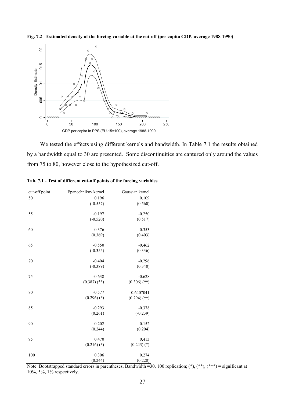**Fig. 7.2 - Estimated density of the forcing variable at the cut-off (per capita GDP, average 1988-1990)** 



We tested the effects using different kernels and bandwidth. In Table 7.1 the results obtained by a bandwidth equal to 30 are presented. Some discontinuities are captured only around the values from 75 to 80, however close to the hypothesized cut-off.

| cut-off point | Epanechnikov kernel | Gaussian kernel |
|---------------|---------------------|-----------------|
| 50            | 0.196               | 0.109           |
|               | $(-0.557)$          | (0.560)         |
| 55            | $-0.197$            | $-0.250$        |
|               | $(-0.520)$          | (0.517)         |
| 60            | $-0.376$            | $-0.353$        |
|               | (0.369)             | (0.403)         |
| 65            | $-0.550$            | $-0.462$        |
|               | $(-0.355)$          | (0.336)         |
| 70            | $-0.404$            | $-0.296$        |
|               | $(-0.389)$          | (0.340)         |
| 75            | $-0.638$            | $-0.628$        |
|               | $(0.387)$ (**)      | $(0.306)$ (**)  |
| 80            | $-0.577$            | $-0.6407041$    |
|               | $(0.296)$ (*)       | $(0.294)$ (**)  |
| 85            | $-0.293$            | $-0.378$        |
|               | (0.261)             | $(-0.239)$      |
| 90            | 0.202               | 0.152           |
|               | (0.244)             | (0.204)         |
| 95            | 0.470               | 0.413           |
|               | $(0.216)$ (*)       | $(0.243)$ (*)   |
| 100           | 0.306               | 0.274           |
|               | (0.244)             | (0.228)         |

**Tab. 7.1 - Test of different cut-off points of the forcing variables** 

Note: Bootstrapped standard errors in parentheses. Bandwidth = 30, 100 replication;  $(*), (**, (**, *) =$  significant at 10%, 5%, 1% respectively.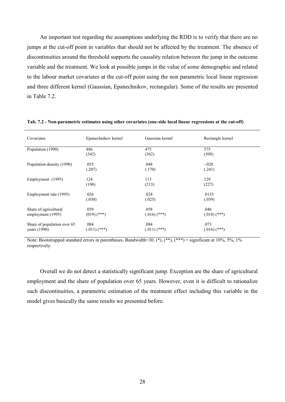An important test regarding the assumptions underlying the RDD is to verify that there are no jumps at the cut-off point in variables that should not be affected by the treatment. The absence of discontinuities around the threshold supports the causality relation between the jump in the outcome variable and the treatment. We look at possible jumps in the value of some demographic and related to the labour market covariates at the cut-off point using the non parametric local linear regression and three different kernel (Gaussian, Epanechnikov, rectangular). Some of the results are presented in Table 7.2.

| Covariates                                    | Epanechnikov kernel    | Gaussian kernel        | Rectangle kernel       |  |
|-----------------------------------------------|------------------------|------------------------|------------------------|--|
| Population (1990)                             | 486<br>(342)           | 475<br>(362)           | 575<br>(508)           |  |
| Population density (1990)                     | .055<br>(.207)         | .048<br>(.170)         | $-.020$<br>(.241)      |  |
| Employment (1995)                             | 124<br>(198)           | 113<br>(213)           | 129<br>(227)           |  |
| Employment rate (1995)                        | .026<br>(.030)         | .024<br>(.025)         | .0133<br>(.039)        |  |
| Share of agricultural<br>employment (1995)    | .059<br>$(019)$ (***)  | .058<br>$(.016)$ (***) | .046<br>$(.018)$ (***) |  |
| Share of population over 65<br>years $(1990)$ | .084<br>$(.011)$ (***) | .084<br>$(.011)$ (***) | .073<br>$(.016)$ (***) |  |

**Tab. 7.2 - 8on-parametric estimates using other covariates (one-side local linear regressions at the cut-off)** 

Note: Bootstrapped standard errors in parentheses. Bandwidth=30. (\*), (\*\*), (\*\*\*) = significant at 10%, 5%, 1% respectively.

Overall we do not detect a statistically significant jump. Exception are the share of agricultural employment and the share of population over 65 years. However, even it is difficult to rationalize such discontinuities, a parametric estimation of the treatment effect including this variable in the model gives basically the same results we presented before.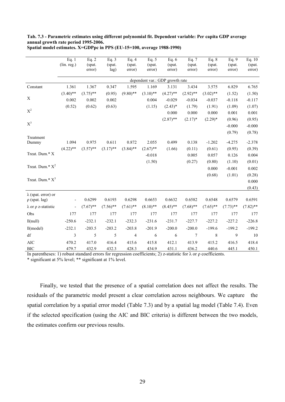### **Tab. 7.3 - Parametric estimates using different polynomial fit. Dependent variable: Per capita GDP average annual growth rate period 1995-2006.**

|                                                  | Eq. $1$                  | Eq. $2$     | Eq. $3$     | Eq. $4$                  | Eq. $5$     | Eq. $6$                         | Eq. 7       | Eq. $8$     | Eq. 9       | Eq. $10$    |
|--------------------------------------------------|--------------------------|-------------|-------------|--------------------------|-------------|---------------------------------|-------------|-------------|-------------|-------------|
|                                                  | (lin. reg.)              | (spat.      | (spat.      | (spat.                   | (spat.      | (spat.                          | (spat.      | (spat.      | (spat.      | (spat.      |
|                                                  |                          | error)      | lag)        | error)                   | error)      | error)                          | error)      | error)      | error)      | error)      |
|                                                  |                          |             |             |                          |             | dependent var.: GDP growth rate |             |             |             |             |
| Constant                                         | 1.361                    | 1.367       | 0.347       | 1.595                    | 1.169       | 3.131                           | 3.434       | 3.575       | 6.829       | 6.765       |
|                                                  | $(3.40)$ **              | $(3.75)$ ** | (0.95)      | $(9.80)$ **              | $(3.10)$ ** | $(4.27)$ **                     | $(2.92)$ ** | $(3.02)$ ** | (1.52)      | (1.50)      |
| X                                                | 0.002                    | 0.002       | 0.002       |                          | 0.004       | $-0.029$                        | $-0.034$    | $-0.037$    | $-0.118$    | $-0.117$    |
|                                                  | (0.52)                   | (0.62)      | (0.63)      |                          | (1.15)      | $(2.43)*$                       | (1.79)      | (1.91)      | (1.09)      | (1.07)      |
| $\mathbf{X}^2$                                   |                          |             |             |                          |             | 0.000                           | 0.000       | 0.000       | 0.001       | 0.001       |
|                                                  |                          |             |             |                          |             | $(2.87)$ **                     | $(2.17)^*$  | $(2.29)*$   | (0.96)      | (0.95)      |
| $X^3$                                            |                          |             |             |                          |             |                                 |             |             | $-0.000$    | $-0.000$    |
|                                                  |                          |             |             |                          |             |                                 |             |             | (0.79)      | (0.78)      |
| Treatment                                        |                          |             | 0.611       |                          |             |                                 |             |             |             |             |
| Dummy                                            | 1.094                    | 0.975       |             | 0.872                    | 2.055       | 0.499                           | 0.138       | $-1.202$    | $-4.275$    | $-2.378$    |
| Treat. Dum.* X                                   | $(4.22)$ **              | $(3.57)$ ** | $(3.17)$ ** | $(3.84)$ **              | $(2.67)$ ** | (1.66)                          | (0.11)      | (0.61)      | (0.95)      | (0.39)      |
|                                                  |                          |             |             |                          | $-0.018$    |                                 | 0.005       | 0.057       | 0.126       | 0.004       |
|                                                  |                          |             |             |                          | (1.50)      |                                 | (0.27)      | (0.80)      | (1.10)      | (0.01)      |
| Treat. Dum.* $X^2$                               |                          |             |             |                          |             |                                 |             | 0.000       | $-0.001$    | 0.002       |
|                                                  |                          |             |             |                          |             |                                 |             | (0.68)      | (1.01)      | (0.28)      |
| Treat. Dum.* $X^3$                               |                          |             |             |                          |             |                                 |             |             |             | 0.000       |
|                                                  |                          |             |             |                          |             |                                 |             |             |             | (0.43)      |
| $\lambda$ (spat. error) or<br>$\rho$ (spat. lag) |                          | 0.6299      | 0.6193      | 0.6298                   | 0.6653      | 0.6632                          | 0.6582      | 0.6548      | 0.6579      | 0.6591      |
| $\lambda$ or $\rho$ z-statistic                  | $\overline{\phantom{a}}$ | $(7.67)$ ** | $(7.56)$ ** | $(7.61)$ **              | $(8.10)$ ** | $(8.45)$ **                     | $(7.68)$ ** | $(7.65)$ ** | $(7.73)$ ** | $(7.82)$ ** |
| Obs                                              | 177                      | 177         | 177         | 177                      | 177         | 177                             | 177         | 177         | 177         | 177         |
| ll(null)                                         | $-250.6$                 | $-232.1$    | $-232.1$    | $-232.3$                 | $-231.6$    | $-231.7$                        | $-227.7$    | $-227.2$    | $-227.2$    | $-226.8$    |
| $ll$ (model)                                     | $-232.1$                 | $-203.5$    | $-203.2$    | $-203.8$                 | $-201.9$    | $-200.0$                        | $-200.0$    | $-199.6$    | $-199.2$    | $-199.2$    |
|                                                  |                          |             |             |                          |             |                                 |             |             |             |             |
| df                                               | 3                        | 5           | 5           | $\overline{\mathcal{L}}$ | 6           | 6                               | $\tau$      | $\,8\,$     | 9           | 10          |
| <b>AIC</b>                                       | 470.2                    | 417.0       | 416.4       | 415.6                    | 415.8       | 412.1                           | 413.9       | 415.2       | 416.5       | 418.4       |
| <b>BIC</b>                                       | 479.7                    | 432.9       | 432.3       | 428.3                    | 434.9       | 431.1                           | 436.2       | 440.6       | 445.1       | 450.1       |

**Spatial model estimates. X=GDPpc in PPS (EU-15=100, average 1988-1990)** 

In parentheses: 1) robust standard errors for regression coefficients; 2) z-statistic for  $\lambda$  or  $\rho$  coefficients.

\* significant at 5% level; \*\* significant at 1% level.

Finally, we tested that the presence of a spatial correlation does not affect the results. The residuals of the parametric model present a clear correlation across neighbours. We capture the spatial correlation by a spatial error model (Table 7.3) and by a spatial lag model (Table 7.4). Even if the selected specification (using the AIC and BIC criteria) is different between the two models, the estimates confirm our previous results.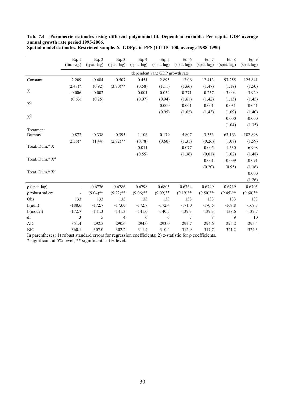| Tab. 7.4 - Parametric estimates using different polynomial fit. Dependent variable: Per capita GDP average |  |                 |  |  |  |
|------------------------------------------------------------------------------------------------------------|--|-----------------|--|--|--|
| annual growth rate period 1995-2006.                                                                       |  |                 |  |  |  |
|                                                                                                            |  | _______________ |  |  |  |

|                             | Eq. 1                        | Eq. $2$     | Eq. $3$     | Eq. $4$     | Eq. $5$                         | Eq. $6$        | Eq. $7$     | Eq. $8$     | Eq. 9       |
|-----------------------------|------------------------------|-------------|-------------|-------------|---------------------------------|----------------|-------------|-------------|-------------|
|                             | (lin. reg.)                  | (spat. lag) | (spat. lag) | (spat. lag) | (spat. lag)                     | (spat. lag)    | (spat. lag) | (spat. lag) | (spat. lag) |
|                             |                              |             |             |             | dependent var.: GDP growth rate |                |             |             |             |
| Constant                    | 2.209                        | 0.684       | 0.507       | 0.451       | 2.895                           | 13.06          | 12.413      | 97.255      | 125.841     |
|                             | $(2.48)$ *                   | (0.92)      | $(3.70)$ ** | (0.58)      | (1.11)                          | (1.66)         | (1.47)      | (1.18)      | (1.50)      |
| $\mathbf X$                 | $-0.006$                     | $-0.002$    |             | 0.001       | $-0.054$                        | $-0.271$       | $-0.257$    | $-3.004$    | $-3.929$    |
|                             | (0.63)                       | (0.25)      |             | (0.07)      | (0.94)                          | (1.61)         | (1.42)      | (1.13)      | (1.45)      |
| $\mathbf{X}^2$              |                              |             |             |             | 0.000                           | 0.001          | 0.001       | 0.031       | 0.041       |
|                             |                              |             |             |             | (0.95)                          | (1.62)         | (1.43)      | (1.09)      | (1.40)      |
| $X^3$                       |                              |             |             |             |                                 |                |             | $-0.000$    | $-0.000$    |
|                             |                              |             |             |             |                                 |                |             | (1.04)      | (1.35)      |
| Treatment                   |                              |             |             |             |                                 |                |             |             |             |
| Dummy                       | 0.872                        | 0.338       | 0.395       | 1.106       | 0.179                           | $-5.807$       | $-3.353$    | $-63.163$   | $-182.898$  |
|                             | $(2.36)*$                    | (1.44)      | $(2.72)$ ** | (0.78)      | (0.60)                          | (1.31)         | (0.26)      | (1.08)      | (1.59)      |
| Treat. Dum.* X              |                              |             |             | $-0.011$    |                                 | 0.077          | 0.005       | 1.530       | 6.908       |
|                             |                              |             |             | (0.55)      |                                 | (1.36)         | (0.01)      | (1.02)      | (1.48)      |
| Treat. Dum.* $X^2$          |                              |             |             |             |                                 |                | 0.001       | $-0.009$    | $-0.091$    |
|                             |                              |             |             |             |                                 |                | (0.20)      | (0.95)      | (1.36)      |
| Treat. Dum.* X <sup>3</sup> |                              |             |             |             |                                 |                |             |             | 0.000       |
|                             |                              |             |             |             |                                 |                |             |             | (1.26)      |
| $\rho$ (spat. lag)          | $\qquad \qquad \blacksquare$ | 0.6776      | 0.6786      | 0.6798      | 0.6805                          | 0.6764         | 0.6749      | 0.6739      | 0.6705      |
| $\rho$ robust std err.      | $\qquad \qquad \blacksquare$ | $(9.04)$ ** | $(9.22)$ ** | $(9.06)$ ** | $(9.09)$ **                     | $(9.19)$ **    | $(9.50)$ ** | $(9.45)$ ** | $(9.60)$ ** |
| Obs                         | 133                          | 133         | 133         | 133         | 133                             | 133            | 133         | 133         | 133         |
| ll(null)                    | $-188.6$                     | $-172.7$    | $-173.0$    | $-172.7$    | $-172.4$                        | $-171.0$       | $-170.5$    | $-169.8$    | $-168.7$    |
| $ll$ (model)                | $-172.7$                     | $-141.3$    | $-141.3$    | $-141.0$    | $-140.5$                        | $-139.3$       | $-139.3$    | $-138.6$    | $-137.7$    |
| df                          | 3                            | 5           | 4           | 6           | 6                               | $\overline{7}$ | $\,8\,$     | 9           | 10          |
| <b>AIC</b>                  | 351.4                        | 292.5       | 290.6       | 294.0       | 293.0                           | 292.7          | 294.6       | 295.2       | 295.4       |
| <b>BIC</b>                  | 360.1                        | 307.0       | 302.2       | 311.4       | 310.4                           | 312.9          | 317.7       | 321.2       | 324.3       |

**Spatial model estimates. Restricted sample. X=GDPpc in PPS (EU-15=100, average 1988-1990)** 

In parentheses: 1) robust standard errors for regression coefficients; 2) z-statistic for ρ coefficients.

\* significant at 5% level; \*\* significant at 1% level.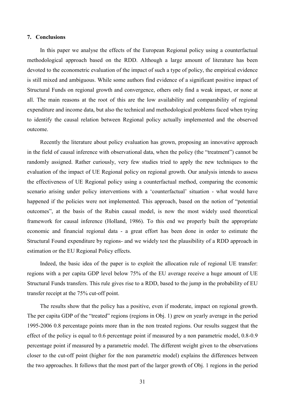### **7. Conclusions**

In this paper we analyse the effects of the European Regional policy using a counterfactual methodological approach based on the RDD. Although a large amount of literature has been devoted to the econometric evaluation of the impact of such a type of policy, the empirical evidence is still mixed and ambiguous. While some authors find evidence of a significant positive impact of Structural Funds on regional growth and convergence, others only find a weak impact, or none at all. The main reasons at the root of this are the low availability and comparability of regional expenditure and income data, but also the technical and methodological problems faced when trying to identify the causal relation between Regional policy actually implemented and the observed outcome.

Recently the literature about policy evaluation has grown, proposing an innovative approach in the field of causal inference with observational data, when the policy (the "treatment") cannot be randomly assigned. Rather curiously, very few studies tried to apply the new techniques to the evaluation of the impact of UE Regional policy on regional growth. Our analysis intends to assess the effectiveness of UE Regional policy using a counterfactual method, comparing the economic scenario arising under policy interventions with a 'counterfactual' situation - what would have happened if the policies were not implemented. This approach, based on the notion of "potential outcomes", at the basis of the Rubin causal model, is now the most widely used theoretical framework for causal inference (Holland, 1986). To this end we properly built the appropriate economic and financial regional data - a great effort has been done in order to estimate the Structural Found expenditure by regions- and we widely test the plausibility of a RDD approach in estimation or the EU Regional Policy effects.

Indeed, the basic idea of the paper is to exploit the allocation rule of regional UE transfer: regions with a per capita GDP level below 75% of the EU average receive a huge amount of UE Structural Funds transfers. This rule gives rise to a RDD, based to the jump in the probability of EU transfer receipt at the 75% cut-off point.

The results show that the policy has a positive, even if moderate, impact on regional growth. The per capita GDP of the "treated" regions (regions in Obj. 1) grew on yearly average in the period 1995-2006 0.8 percentage points more than in the non treated regions. Our results suggest that the effect of the policy is equal to 0.6 percentage point if measured by a non parametric model, 0.8-0.9 percentage point if measured by a parametric model. The different weight given to the observations closer to the cut-off point (higher for the non parametric model) explains the differences between the two approaches. It follows that the most part of the larger growth of Obj. 1 regions in the period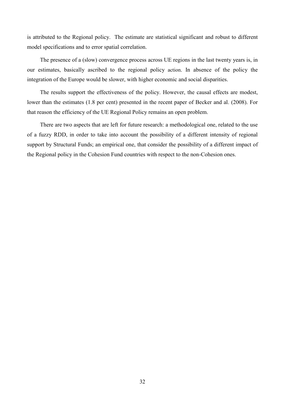is attributed to the Regional policy. The estimate are statistical significant and robust to different model specifications and to error spatial correlation.

The presence of a (slow) convergence process across UE regions in the last twenty years is, in our estimates, basically ascribed to the regional policy action. In absence of the policy the integration of the Europe would be slower, with higher economic and social disparities.

The results support the effectiveness of the policy. However, the causal effects are modest, lower than the estimates (1.8 per cent) presented in the recent paper of Becker and al. (2008). For that reason the efficiency of the UE Regional Policy remains an open problem.

There are two aspects that are left for future research: a methodological one, related to the use of a fuzzy RDD, in order to take into account the possibility of a different intensity of regional support by Structural Funds; an empirical one, that consider the possibility of a different impact of the Regional policy in the Cohesion Fund countries with respect to the non-Cohesion ones.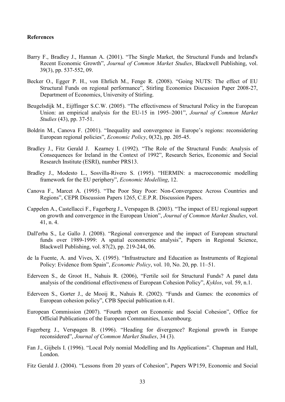### **References**

- Barry F., Bradley J., Hannan A. (2001). "The Single Market, the Structural Funds and Ireland's Recent Economic Growth", *Journal of Common Market Studies*, Blackwell Publishing, vol. 39(3), pp. 537-552, 09.
- Becker O., Egger P. H., von Ehrlich M., Fenge R. (2008). "Going NUTS: The effect of EU Structural Funds on regional performance", Stirling Economics Discussion Paper 2008-27, Department of Economics, University of Stirling.
- Beugelsdijk M., Eijffinger S.C.W. (2005). "The effectiveness of Structural Policy in the European Union: an empirical analysis for the EU-15 in 1995–2001", *Journal of Common Market Studies* (43), pp. 37-51.
- Boldrin M., Canova F. (2001). "Inequality and convergence in Europe's regions: reconsidering European regional policies", *Economic Policy*, 0(32), pp. 205-45.
- Bradley J., Fitz Gerald J. Kearney I. (1992). "The Role of the Structural Funds: Analysis of Consequences for Ireland in the Context of 1992", Research Series, Economic and Social Research Institute (ESRI), number PRS13.
- Bradley J., Modesto L., Sosvilla-Rivero S. (1995). "HERMIN: a macroeconomic modelling framework for the EU periphery", *Economic Modelling*, 12.
- Canova F., Marcet A. (1995). "The Poor Stay Poor: Non-Convergence Across Countries and Regions", CEPR Discussion Papers 1265, C.E.P.R. Discussion Papers.
- Cappelen A., Castellacci F., Fagerberg J., Verspagen B. (2003). "The impact of EU regional support on growth and convergence in the European Union", *Journal of Common Market Studies*, vol. 41, n. 4.
- Dall'erba S., Le Gallo J. (2008). "Regional convergence and the impact of European structural funds over 1989-1999: A spatial econometric analysis", Papers in Regional Science, Blackwell Publishing, vol. 87(2), pp. 219-244, 06.
- de la Fuente, A. and Vives, X. (1995). "Infrastructure and Education as Instruments of Regional Policy: Evidence from Spain", *Economic Policy*, vol. 10, No. 20, pp. 11–51.
- Ederveen S., de Groot H., Nahuis R. (2006), "Fertile soil for Structural Funds? A panel data analysis of the conditional effectiveness of European Cohesion Policy", *Kyklos*, vol. 59, n.1.
- Ederveen S., Gorter J., de Mooij R., Nahuis R. (2002). "Funds and Games: the economics of European cohesion policy", CPB Special publication n.41.
- European Commission (2007). "Fourth report on Economic and Social Cohesion", Office for Official Publications of the European Communities, Luxembourg.
- Fagerberg J., Verspagen B. (1996). "Heading for divergence? Regional growth in Europe reconsidered", *Journal of Common Market Studies*, 34 (3).
- Fan J., Gijbels I. (1996). "Local Poly nomial Modelling and Its Applications". Chapman and Hall, London.
- Fitz Gerald J. (2004). "Lessons from 20 years of Cohesion", Papers WP159, Economic and Social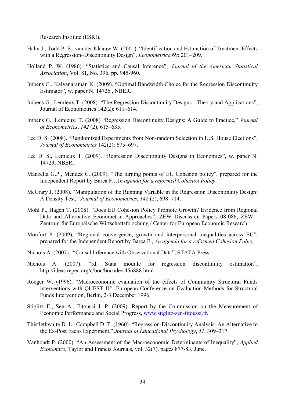Research Institute (ESRI).

- Hahn J., Todd P. E., van der Klaauw W. (2001). "Identification and Estimation of Treatment Effects with a Regression–Discontinuity Design", *Econometrica* 69: 201–209.
- Holland P. W. (1986). "Statistics and Causal Inference", *Journal of the American Statistical Association*, Vol. 81, No. 396, pp. 945-960.
- Imbens G., Kalyanaraman K. (2009). "Optimal Bandwidth Choice for the Regression Discontinuity Estimator", w. paper N. 14726 , NBER.
- Imbens G., Lemieux T. (2008). "The Regression Discontinuity Designs Theory and Applications", Journal of Econometrics 142(2): 611–614.
- Imbens G., Lemieux. T. (2008) "Regression Discontinuity Designs: A Guide to Practice," *Journal of Econometrics*, *142* (2), 615–635.
- Lee D. S. (2008). "Randomized Experiments from Non-random Selection in U.S. House Elections", *Journal of Econometrics* 142(2): 675–697.
- Lee D. S., Lemieux T. (2009). "Regression Discontinuity Designs in Economics", w. paper N. 14723, NBER.
- Manzella G.P., Mendez C. (2009). "The turning points of EU Cohesion policy", prepared for the Independent Report by Barca F., *An agenda for a reformed Cohesion Policy*.
- McCrary J. (2008). "Manipulation of the Running Variable in the Regression Discontinuity Design: A Density Test," *Journal of Econometrics*, *142* (2), 698–714.
- Mohl P., Hagen T. (2008). "Does EU Cohesion Policy Promote Growth? Evidence from Regional Data and Alternative Econometric Approaches", ZEW Discussion Papers 08-086, ZEW - Zentrum für Europäische Wirtschaftsforschung / Center for European Economic Research.
- Monfort P. (2009), "Regional convergence, growth and interpersonal inequalities across EU", prepared for the Independent Report by Barca F., *An agenda for a reformed Cohesion Policy*.
- Nichols A. (2007). "Causal Inference with Observational Data", STATA Press.
- Nichols A. (2007). "rd: Stata module for regression discontinuity estimation", http://ideas.repec.org/c/boc/bocode/s456888.html
- Roeger W. (1996). "Macroeconomic evaluation of the effects of Community Structural Funds interventions with QUEST II*"*, European Conference on Evaluation Methods for Structural Funds Intervention, Berlin, 2-3 December 1996.
- Stiglitz E., Sen A., Fitoussi J. P. (2009). Report by the Commission on the Measurement of Economic Performance and Social Progress, www.stiglitz-sen-fitoussi.fr.
- Thistlethwaite D. L., Campbell D. T. (1960). "Regression-Discontinuity Analysis: An Alternative to the Ex-Post Facto Experiment," *Journal of Educational Psychology*, *51*, 309–317.
- Vanhoudt P. (2000). "An Assessment of the Macroeconomic Determinants of Inequality", *Applied Economics*, Taylor and Francis Journals, vol. 32(7), pages 877-83, June.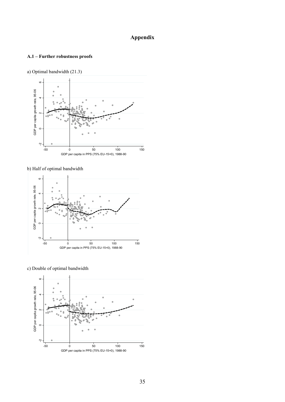### **Appendix**

### **A.1 – Further robustness proofs**





b) Half of optimal bandwidth